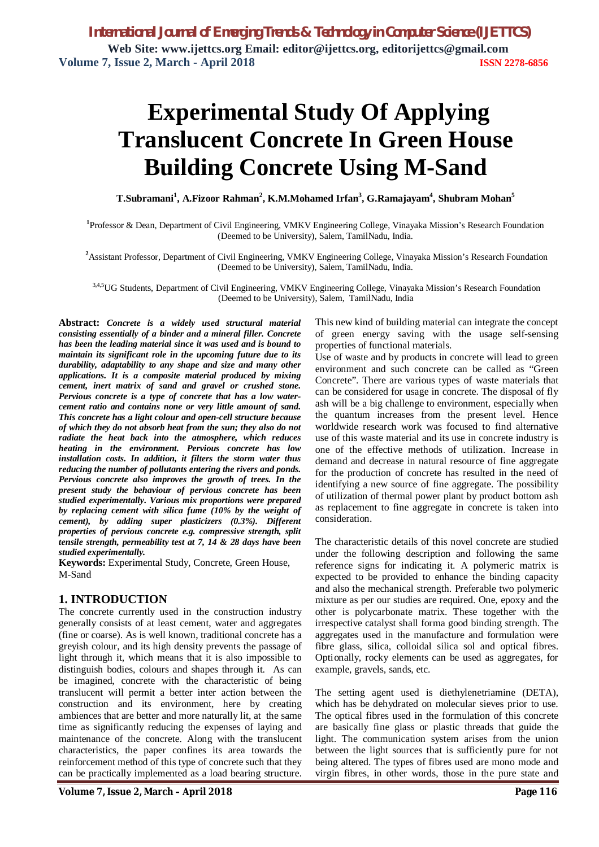# **Experimental Study Of Applying Translucent Concrete In Green House Building Concrete Using M-Sand**

**T.Subramani<sup>1</sup> , A.Fizoor Rahman<sup>2</sup> , K.M.Mohamed Irfan<sup>3</sup> , G.Ramajayam<sup>4</sup> , Shubram Mohan<sup>5</sup>**

**1** Professor & Dean, Department of Civil Engineering, VMKV Engineering College, Vinayaka Mission's Research Foundation (Deemed to be University), Salem, TamilNadu, India.

**<sup>2</sup>**Assistant Professor, Department of Civil Engineering, VMKV Engineering College, Vinayaka Mission's Research Foundation (Deemed to be University), Salem, TamilNadu, India.

3,4,5UG Students, Department of Civil Engineering, VMKV Engineering College, Vinayaka Mission's Research Foundation (Deemed to be University), Salem, TamilNadu, India

**Abstract:** *Concrete is a widely used structural material consisting essentially of a binder and a mineral filler. Concrete has been the leading material since it was used and is bound to maintain its significant role in the upcoming future due to its durability, adaptability to any shape and size and many other applications. It is a composite material produced by mixing cement, inert matrix of sand and gravel or crushed stone. Pervious concrete is a type of concrete that has a low watercement ratio and contains none or very little amount of sand. This concrete has a light colour and open-cell structure because of which they do not absorb heat from the sun; they also do not radiate the heat back into the atmosphere, which reduces heating in the environment. Pervious concrete has low installation costs. In addition, it filters the storm water thus reducing the number of pollutants entering the rivers and ponds. Pervious concrete also improves the growth of trees. In the present study the behaviour of pervious concrete has been studied experimentally. Various mix proportions were prepared by replacing cement with silica fume (10% by the weight of cement), by adding super plasticizers (0.3%). Different properties of pervious concrete e.g. compressive strength, split tensile strength, permeability test at 7, 14 & 28 days have been studied experimentally.*

**Keywords:** Experimental Study, Concrete, Green House, M-Sand

### **1. INTRODUCTION**

The concrete currently used in the construction industry generally consists of at least cement, water and aggregates (fine or coarse). As is well known, traditional concrete has a greyish colour, and its high density prevents the passage of light through it, which means that it is also impossible to distinguish bodies, colours and shapes through it. As can be imagined, concrete with the characteristic of being translucent will permit a better inter action between the construction and its environment, here by creating ambiences that are better and more naturally lit, at the same time as significantly reducing the expenses of laying and maintenance of the concrete. Along with the translucent characteristics, the paper confines its area towards the reinforcement method of this type of concrete such that they can be practically implemented as a load bearing structure.

This new kind of building material can integrate the concept of green energy saving with the usage self-sensing properties of functional materials.

Use of waste and by products in concrete will lead to green environment and such concrete can be called as "Green Concrete". There are various types of waste materials that can be considered for usage in concrete. The disposal of fly ash will be a big challenge to environment, especially when the quantum increases from the present level. Hence worldwide research work was focused to find alternative use of this waste material and its use in concrete industry is one of the effective methods of utilization. Increase in demand and decrease in natural resource of fine aggregate for the production of concrete has resulted in the need of identifying a new source of fine aggregate. The possibility of utilization of thermal power plant by product bottom ash as replacement to fine aggregate in concrete is taken into consideration.

The characteristic details of this novel concrete are studied under the following description and following the same reference signs for indicating it. A polymeric matrix is expected to be provided to enhance the binding capacity and also the mechanical strength. Preferable two polymeric mixture as per our studies are required. One, epoxy and the other is polycarbonate matrix. These together with the irrespective catalyst shall forma good binding strength. The aggregates used in the manufacture and formulation were fibre glass, silica, colloidal silica sol and optical fibres. Optionally, rocky elements can be used as aggregates, for example, gravels, sands, etc.

The setting agent used is diethylenetriamine (DETA), which has be dehydrated on molecular sieves prior to use. The optical fibres used in the formulation of this concrete are basically fine glass or plastic threads that guide the light. The communication system arises from the union between the light sources that is sufficiently pure for not being altered. The types of fibres used are mono mode and virgin fibres, in other words, those in the pure state and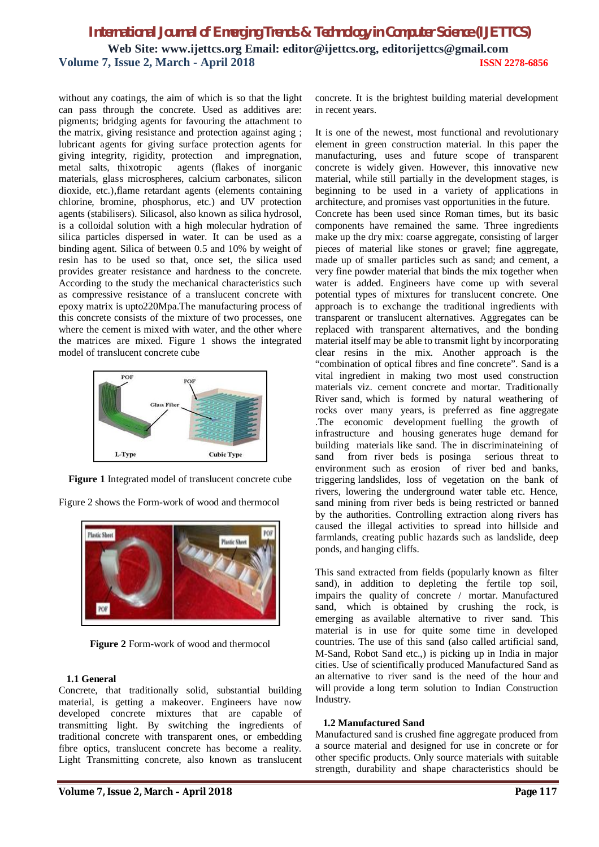without any coatings, the aim of which is so that the light can pass through the concrete. Used as additives are: pigments; bridging agents for favouring the attachment to the matrix, giving resistance and protection against aging ; lubricant agents for giving surface protection agents for giving integrity, rigidity, protection and impregnation, metal salts, thixotropic agents (flakes of inorganic materials, glass microspheres, calcium carbonates, silicon dioxide, etc.),flame retardant agents (elements containing chlorine, bromine, phosphorus, etc.) and UV protection agents (stabilisers). Silicasol, also known as silica hydrosol, is a colloidal solution with a high molecular hydration of silica particles dispersed in water. It can be used as a binding agent. Silica of between 0.5 and 10% by weight of resin has to be used so that, once set, the silica used provides greater resistance and hardness to the concrete. According to the study the mechanical characteristics such as compressive resistance of a translucent concrete with epoxy matrix is upto220Mpa.The manufacturing process of this concrete consists of the mixture of two processes, one where the cement is mixed with water, and the other where the matrices are mixed. Figure 1 shows the integrated model of translucent concrete cube



**Figure 1** Integrated model of translucent concrete cube

Figure 2 shows the Form-work of wood and thermocol



**Figure 2** Form-work of wood and thermocol

#### **1.1 General**

Concrete, that traditionally solid, substantial building material, is getting a makeover. Engineers have now developed concrete mixtures that are capable of transmitting light. By switching the ingredients of traditional concrete with transparent ones, or embedding fibre optics, translucent concrete has become a reality. Light Transmitting concrete, also known as translucent concrete. It is the brightest building material development in recent years.

It is one of the newest, most functional and revolutionary element in green construction material. In this paper the manufacturing, uses and future scope of transparent concrete is widely given. However, this innovative new material, while still partially in the development stages, is beginning to be used in a variety of applications in architecture, and promises vast opportunities in the future. Concrete has been used since Roman times, but its basic components have remained the same. Three ingredients make up the dry mix: coarse aggregate, consisting of larger pieces of material like stones or gravel; fine aggregate, made up of smaller particles such as sand; and cement, a very fine powder material that binds the mix together when water is added. Engineers have come up with several potential types of mixtures for translucent concrete. One approach is to exchange the traditional ingredients with transparent or translucent alternatives. Aggregates can be replaced with transparent alternatives, and the bonding material itself may be able to transmit light by incorporating clear resins in the mix. Another approach is the "combination of optical fibres and fine concrete". Sand is a vital ingredient in making two most used construction materials viz. cement concrete and mortar. Traditionally River sand, which is formed by natural weathering of rocks over many years, is preferred as fine aggregate .The economic development fuelling the growth of infrastructure and housing generates huge demand for building materials like sand. The in discriminateining of sand from river beds is posinga serious threat to environment such as erosion of river bed and banks, triggering landslides, loss of vegetation on the bank of rivers, lowering the underground water table etc. Hence, sand mining from river beds is being restricted or banned by the authorities. Controlling extraction along rivers has caused the illegal activities to spread into hillside and farmlands, creating public hazards such as landslide, deep ponds, and hanging cliffs.

This sand extracted from fields (popularly known as filter sand), in addition to depleting the fertile top soil, impairs the quality of concrete / mortar. Manufactured sand, which is obtained by crushing the rock, is emerging as available alternative to river sand. This material is in use for quite some time in developed countries. The use of this sand (also called artificial sand, M-Sand, Robot Sand etc.,) is picking up in India in major cities. Use of scientifically produced Manufactured Sand as an alternative to river sand is the need of the hour and will provide a long term solution to Indian Construction Industry.

#### **1.2 Manufactured Sand**

Manufactured sand is crushed fine aggregate produced from a source material and designed for use in concrete or for other specific products. Only source materials with suitable strength, durability and shape characteristics should be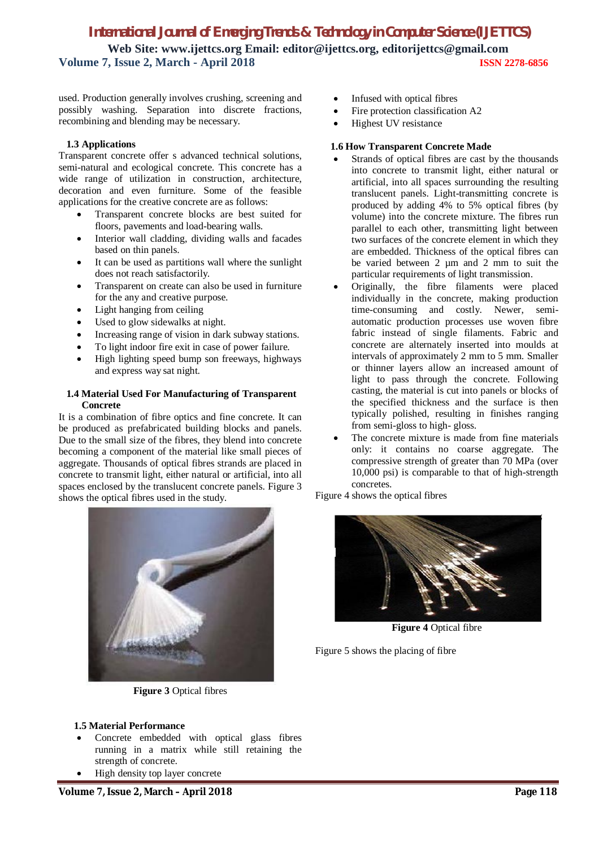used. Production generally involves crushing, screening and possibly washing. Separation into discrete fractions, recombining and blending may be necessary.

#### **1.3 Applications**

Transparent concrete offer s advanced technical solutions, semi-natural and ecological concrete. This concrete has a wide range of utilization in construction, architecture, decoration and even furniture. Some of the feasible applications for the creative concrete are as follows:

- Transparent concrete blocks are best suited for floors, pavements and load-bearing walls.
- Interior wall cladding, dividing walls and facades based on thin panels.
- It can be used as partitions wall where the sunlight does not reach satisfactorily.
- Transparent on create can also be used in furniture for the any and creative purpose.
- Light hanging from ceiling
- Used to glow sidewalks at night.
- Increasing range of vision in dark subway stations.
- To light indoor fire exit in case of power failure.
- High lighting speed bump son freeways, highways and express way sat night.

#### **1.4 Material Used For Manufacturing of Transparent Concrete**

It is a combination of fibre optics and fine concrete. It can be produced as prefabricated building blocks and panels. Due to the small size of the fibres, they blend into concrete becoming a component of the material like small pieces of aggregate. Thousands of optical fibres strands are placed in concrete to transmit light, either natural or artificial, into all spaces enclosed by the translucent concrete panels. Figure 3 shows the optical fibres used in the study.



**Figure 3** Optical fibres

- Infused with optical fibres
- Fire protection classification A2
- Highest UV resistance

#### **1.6 How Transparent Concrete Made**

- Strands of optical fibres are cast by the thousands into concrete to transmit light, either natural or artificial, into all spaces surrounding the resulting translucent panels. Light-transmitting concrete is produced by adding 4% to 5% optical fibres (by volume) into the concrete mixture. The fibres run parallel to each other, transmitting light between two surfaces of the concrete element in which they are embedded. Thickness of the optical fibres can be varied between 2 um and 2 mm to suit the particular requirements of light transmission.
- Originally, the fibre filaments were placed individually in the concrete, making production time-consuming and costly. Newer, semiautomatic production processes use woven fibre fabric instead of single filaments. Fabric and concrete are alternately inserted into moulds at intervals of approximately 2 mm to 5 mm. Smaller or thinner layers allow an increased amount of light to pass through the concrete. Following casting, the material is cut into panels or blocks of the specified thickness and the surface is then typically polished, resulting in finishes ranging from semi-gloss to high- gloss.
- The concrete mixture is made from fine materials only: it contains no coarse aggregate. The compressive strength of greater than 70 MPa (over 10,000 psi) is comparable to that of high-strength concretes.

Figure 4 shows the optical fibres



**Figure 4** Optical fibre

Figure 5 shows the placing of fibre

#### **1.5 Material Performance**

- Concrete embedded with optical glass fibres running in a matrix while still retaining the strength of concrete.
- High density top layer concrete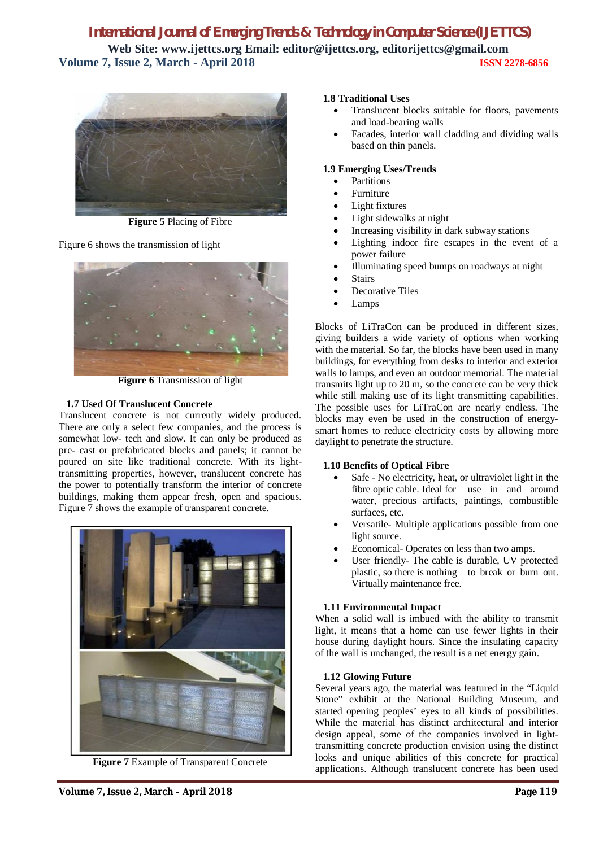

**Figure 5** Placing of Fibre

Figure 6 shows the transmission of light



**Figure 6** Transmission of light

#### **1.7 Used Of Translucent Concrete**

Translucent concrete is not currently widely produced. There are only a select few companies, and the process is somewhat low- tech and slow. It can only be produced as pre- cast or prefabricated blocks and panels; it cannot be poured on site like traditional concrete. With its lighttransmitting properties, however, translucent concrete has the power to potentially transform the interior of concrete buildings, making them appear fresh, open and spacious. Figure 7 shows the example of transparent concrete.



**Figure 7** Example of Transparent Concrete

#### **1.8 Traditional Uses**

- Translucent blocks suitable for floors, pavements and load-bearing walls
- Facades, interior wall cladding and dividing walls based on thin panels.

#### **1.9 Emerging Uses/Trends**

- Partitions
- Furniture
- Light fixtures
- Light sidewalks at night
- Increasing visibility in dark subway stations
- Lighting indoor fire escapes in the event of a power failure
- Illuminating speed bumps on roadways at night
- **Stairs**
- Decorative Tiles
- Lamps

Blocks of LiTraCon can be produced in different sizes, giving builders a wide variety of options when working with the material. So far, the blocks have been used in many buildings, for everything from desks to interior and exterior walls to lamps, and even an outdoor memorial. The material transmits light up to 20 m, so the concrete can be very thick while still making use of its light transmitting capabilities. The possible uses for LiTraCon are nearly endless. The blocks may even be used in the construction of energysmart homes to reduce electricity costs by allowing more daylight to penetrate the structure.

#### **1.10 Benefits of Optical Fibre**

- Safe No electricity, heat, or ultraviolet light in the fibre optic cable. Ideal for use in and around water, precious artifacts, paintings, combustible surfaces, etc.
- Versatile- Multiple applications possible from one light source.
- Economical- Operates on less than two amps.
- User friendly- The cable is durable, UV protected plastic, so there is nothing to break or burn out. Virtually maintenance free.

#### **1.11 Environmental Impact**

When a solid wall is imbued with the ability to transmit light, it means that a home can use fewer lights in their house during daylight hours. Since the insulating capacity of the wall is unchanged, the result is a net energy gain.

#### **1.12 Glowing Future**

Several years ago, the material was featured in the "Liquid Stone" exhibit at the National Building Museum, and started opening peoples' eyes to all kinds of possibilities. While the material has distinct architectural and interior design appeal, some of the companies involved in lighttransmitting concrete production envision using the distinct looks and unique abilities of this concrete for practical applications. Although translucent concrete has been used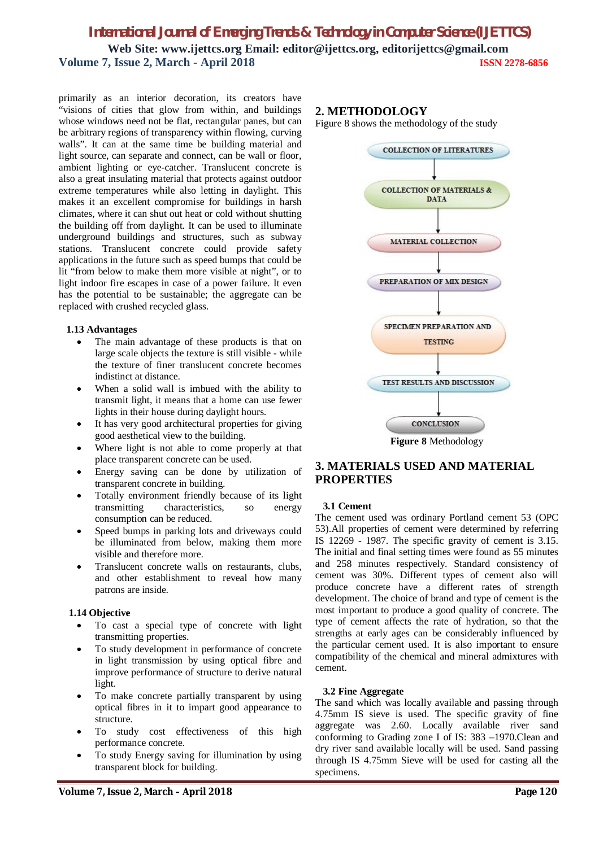primarily as an interior decoration, its creators have "visions of cities that glow from within, and buildings whose windows need not be flat, rectangular panes, but can be arbitrary regions of transparency within flowing, curving walls". It can at the same time be building material and light source, can separate and connect, can be wall or floor, ambient lighting or eye-catcher. Translucent concrete is also a great insulating material that protects against outdoor extreme temperatures while also letting in daylight. This makes it an excellent compromise for buildings in harsh climates, where it can shut out heat or cold without shutting the building off from daylight. It can be used to illuminate underground buildings and structures, such as subway stations. Translucent concrete could provide safety applications in the future such as speed bumps that could be lit "from below to make them more visible at night", or to light indoor fire escapes in case of a power failure. It even has the potential to be sustainable; the aggregate can be replaced with crushed recycled glass.

#### **1.13 Advantages**

- The main advantage of these products is that on large scale objects the texture is still visible - while the texture of finer translucent concrete becomes indistinct at distance.
- When a solid wall is imbued with the ability to transmit light, it means that a home can use fewer lights in their house during daylight hours.
- It has very good architectural properties for giving good aesthetical view to the building.
- Where light is not able to come properly at that place transparent concrete can be used.
- Energy saving can be done by utilization of transparent concrete in building.
- Totally environment friendly because of its light transmitting characteristics, so energy consumption can be reduced.
- Speed bumps in parking lots and driveways could be illuminated from below, making them more visible and therefore more.
- Translucent concrete walls on restaurants, clubs, and other establishment to reveal how many patrons are inside.

#### **1.14 Objective**

- To cast a special type of concrete with light transmitting properties.
- To study development in performance of concrete in light transmission by using optical fibre and improve performance of structure to derive natural light.
- To make concrete partially transparent by using optical fibres in it to impart good appearance to structure.
- To study cost effectiveness of this high performance concrete.
- To study Energy saving for illumination by using transparent block for building.

### **2. METHODOLOGY**

Figure 8 shows the methodology of the study



**Figure 8** Methodology

### **3. MATERIALS USED AND MATERIAL PROPERTIES**

#### **3.1 Cement**

The cement used was ordinary Portland cement 53 (OPC 53).All properties of cement were determined by referring IS 12269 - 1987. The specific gravity of cement is 3.15. The initial and final setting times were found as 55 minutes and 258 minutes respectively. Standard consistency of cement was 30%. Different types of cement also will produce concrete have a different rates of strength development. The choice of brand and type of cement is the most important to produce a good quality of concrete. The type of cement affects the rate of hydration, so that the strengths at early ages can be considerably influenced by the particular cement used. It is also important to ensure compatibility of the chemical and mineral admixtures with cement.

#### **3.2 Fine Aggregate**

The sand which was locally available and passing through 4.75mm IS sieve is used. The specific gravity of fine aggregate was 2.60. Locally available river sand conforming to Grading zone I of IS: 383 –1970.Clean and dry river sand available locally will be used. Sand passing through IS 4.75mm Sieve will be used for casting all the specimens.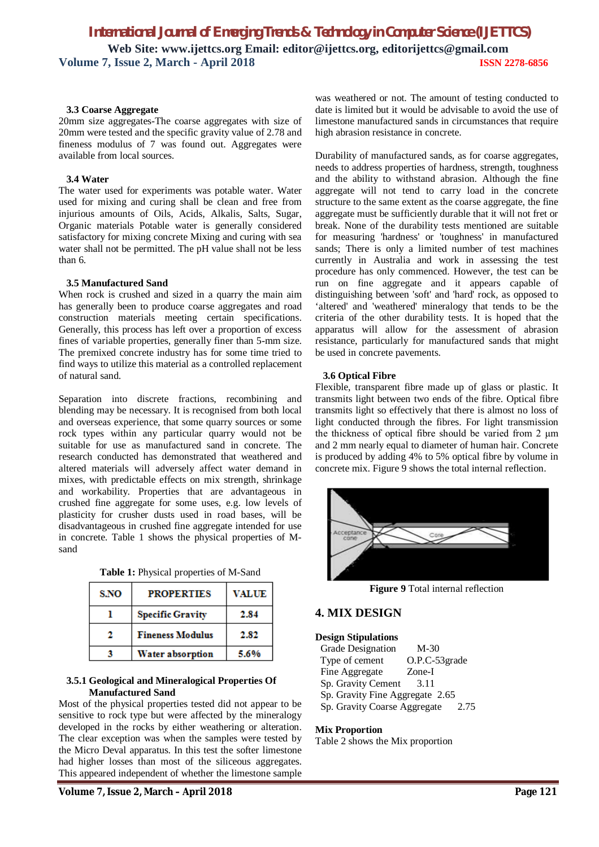#### **3.3 Coarse Aggregate**

20mm size aggregates-The coarse aggregates with size of 20mm were tested and the specific gravity value of 2.78 and fineness modulus of 7 was found out. Aggregates were available from local sources.

#### **3.4 Water**

The water used for experiments was potable water. Water used for mixing and curing shall be clean and free from injurious amounts of Oils, Acids, Alkalis, Salts, Sugar, Organic materials Potable water is generally considered satisfactory for mixing concrete Mixing and curing with sea water shall not be permitted. The pH value shall not be less than 6.

#### **3.5 Manufactured Sand**

When rock is crushed and sized in a quarry the main aim has generally been to produce coarse aggregates and road construction materials meeting certain specifications. Generally, this process has left over a proportion of excess fines of variable properties, generally finer than 5-mm size. The premixed concrete industry has for some time tried to find ways to utilize this material as a controlled replacement of natural sand.

Separation into discrete fractions, recombining and blending may be necessary. It is recognised from both local and overseas experience, that some quarry sources or some rock types within any particular quarry would not be suitable for use as manufactured sand in concrete. The research conducted has demonstrated that weathered and altered materials will adversely affect water demand in mixes, with predictable effects on mix strength, shrinkage and workability. Properties that are advantageous in crushed fine aggregate for some uses, e.g. low levels of plasticity for crusher dusts used in road bases, will be disadvantageous in crushed fine aggregate intended for use in concrete. Table 1 shows the physical properties of Msand

| <b>Table 1:</b> Physical properties of M-Sand |  |  |
|-----------------------------------------------|--|--|
|-----------------------------------------------|--|--|

| S.NO | <b>PROPERTIES</b>       | <b>VALUE</b> |
|------|-------------------------|--------------|
|      | <b>Specific Gravity</b> | 2.84         |
|      | <b>Fineness Modulus</b> | 2.82         |
|      | <b>Water absorption</b> | 5.6%         |

#### **3.5.1 Geological and Mineralogical Properties Of Manufactured Sand**

Most of the physical properties tested did not appear to be sensitive to rock type but were affected by the mineralogy developed in the rocks by either weathering or alteration. The clear exception was when the samples were tested by the Micro Deval apparatus. In this test the softer limestone had higher losses than most of the siliceous aggregates. This appeared independent of whether the limestone sample

was weathered or not. The amount of testing conducted to date is limited but it would be advisable to avoid the use of limestone manufactured sands in circumstances that require high abrasion resistance in concrete.

Durability of manufactured sands, as for coarse aggregates, needs to address properties of hardness, strength, toughness and the ability to withstand abrasion. Although the fine aggregate will not tend to carry load in the concrete structure to the same extent as the coarse aggregate, the fine aggregate must be sufficiently durable that it will not fret or break. None of the durability tests mentioned are suitable for measuring 'hardness' or 'toughness' in manufactured sands; There is only a limited number of test machines currently in Australia and work in assessing the test procedure has only commenced. However, the test can be run on fine aggregate and it appears capable of distinguishing between 'soft' and 'hard' rock, as opposed to 'altered' and 'weathered' mineralogy that tends to be the criteria of the other durability tests. It is hoped that the apparatus will allow for the assessment of abrasion resistance, particularly for manufactured sands that might be used in concrete pavements.

#### **3.6 Optical Fibre**

Flexible, transparent fibre made up of glass or plastic. It transmits light between two ends of the fibre. Optical fibre transmits light so effectively that there is almost no loss of light conducted through the fibres. For light transmission the thickness of optical fibre should be varied from 2 μm and 2 mm nearly equal to diameter of human hair. Concrete is produced by adding 4% to 5% optical fibre by volume in concrete mix. Figure 9 shows the total internal reflection.



**Figure 9** Total internal reflection

#### **4. MIX DESIGN**

#### **Design Stipulations**

 Grade Designation M-30 Type of cement O.P.C-53grade Fine Aggregate Zone-I Sp. Gravity Cement 3.11 Sp. Gravity Fine Aggregate 2.65 Sp. Gravity Coarse Aggregate 2.75

#### **Mix Proportion**

Table 2 shows the Mix proportion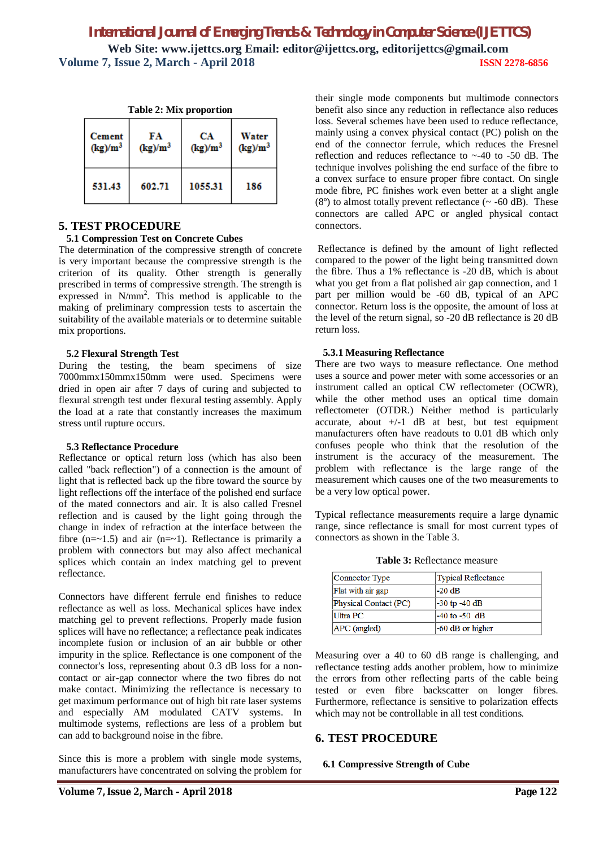connectors.

return loss.

| <b>Table 2: Mix proportion</b> |                  |                  |                     |  |  |
|--------------------------------|------------------|------------------|---------------------|--|--|
| <b>Cement</b><br>$(kg)/m^3$    | FA<br>$(kg)/m^3$ | CА<br>$(kg)/m^3$ | Water<br>$(kg)/m^3$ |  |  |
| 531.43                         | 602.71           | 1055.31          | 186                 |  |  |

### **5. TEST PROCEDURE**

#### **5.1 Compression Test on Concrete Cubes**

The determination of the compressive strength of concrete is very important because the compressive strength is the criterion of its quality. Other strength is generally prescribed in terms of compressive strength. The strength is expressed in N/mm<sup>2</sup> . This method is applicable to the making of preliminary compression tests to ascertain the suitability of the available materials or to determine suitable mix proportions.

#### **5.2 Flexural Strength Test**

During the testing, the beam specimens of size 7000mmx150mmx150mm were used. Specimens were dried in open air after 7 days of curing and subjected to flexural strength test under flexural testing assembly. Apply the load at a rate that constantly increases the maximum stress until rupture occurs.

#### **5.3 Reflectance Procedure**

Reflectance or optical return loss (which has also been called "back reflection") of a connection is the amount of light that is reflected back up the fibre toward the source by light reflections off the interface of the polished end surface of the mated connectors and air. It is also called Fresnel reflection and is caused by the light going through the change in index of refraction at the interface between the fibre  $(n=-1.5)$  and air  $(n=-1)$ . Reflectance is primarily a problem with connectors but may also affect mechanical splices which contain an index matching gel to prevent reflectance.

Connectors have different ferrule end finishes to reduce reflectance as well as loss. Mechanical splices have index matching gel to prevent reflections. Properly made fusion splices will have no reflectance; a reflectance peak indicates incomplete fusion or inclusion of an air bubble or other impurity in the splice. Reflectance is one component of the connector's loss, representing about 0.3 dB loss for a noncontact or air-gap connector where the two fibres do not make contact. Minimizing the reflectance is necessary to get maximum performance out of high bit rate laser systems and especially AM modulated CATV systems. In multimode systems, reflections are less of a problem but can add to background noise in the fibre.

Since this is more a problem with single mode systems, manufacturers have concentrated on solving the problem for

reflectometer (OTDR.) Neither method is particularly accurate, about  $+/-1$  dB at best, but test equipment manufacturers often have readouts to 0.01 dB which only confuses people who think that the resolution of the instrument is the accuracy of the measurement. The problem with reflectance is the large range of the measurement which causes one of the two measurements to be a very low optical power.

 **5.3.1 Measuring Reflectance**

Typical reflectance measurements require a large dynamic range, since reflectance is small for most current types of connectors as shown in the Table 3.

their single mode components but multimode connectors benefit also since any reduction in reflectance also reduces loss. Several schemes have been used to reduce reflectance, mainly using a convex physical contact (PC) polish on the end of the connector ferrule, which reduces the Fresnel reflection and reduces reflectance to ~-40 to -50 dB. The technique involves polishing the end surface of the fibre to a convex surface to ensure proper fibre contact. On single mode fibre, PC finishes work even better at a slight angle  $(8^{\circ})$  to almost totally prevent reflectance ( $\sim$  -60 dB). These connectors are called APC or angled physical contact

Reflectance is defined by the amount of light reflected compared to the power of the light being transmitted down the fibre. Thus a 1% reflectance is -20 dB, which is about what you get from a flat polished air gap connection, and 1 part per million would be -60 dB, typical of an APC connector. Return loss is the opposite, the amount of loss at the level of the return signal, so -20 dB reflectance is 20 dB

There are two ways to measure reflectance. One method uses a source and power meter with some accessories or an instrument called an optical CW reflectometer (OCWR), while the other method uses an optical time domain

**Table 3:** Reflectance measure

| Connector Type        | <b>Typical Reflectance</b> |
|-----------------------|----------------------------|
| Flat with air gap     | -20 dB                     |
| Physical Contact (PC) | $-30$ tp $-40$ dB          |
| Ultra PC              | $-40$ to $-50$ dB          |
| $APC$ (angled)        | -60 dB or higher           |

Measuring over a 40 to 60 dB range is challenging, and reflectance testing adds another problem, how to minimize the errors from other reflecting parts of the cable being tested or even fibre backscatter on longer fibres. Furthermore, reflectance is sensitive to polarization effects which may not be controllable in all test conditions.

### **6. TEST PROCEDURE**

#### **6.1 Compressive Strength of Cube**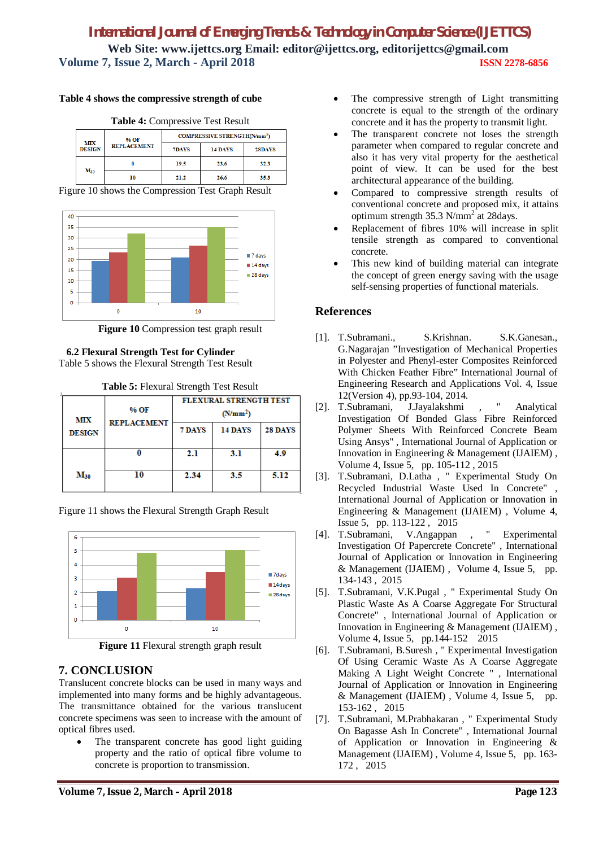#### **Table 4 shows the compressive strength of cube**

**Table 4:** Compressive Test Result **COMPRESSIVE STRENGTH(N/mm<sup>2</sup>)** % OF MTY **REPLACEMENT** DESIGN 7DAVS 14 DAYS 28DAYS 10.5  $23.6$  $32.3$  $\ddot{\mathbf{0}}$  $M_{30}$  $\overline{10}$  $21.2$  $26.6$ 35.3

Figure 10 shows the Compression Test Graph Result



**Figure 10** Compression test graph result

### **6.2 Flexural Strength Test for Cylinder**

Table 5 shows the Flexural Strength Test Result

**Table 5:** Flexural Strength Test Result

|                                     |        | <b>FLEXURAL STRENGTH TEST</b> |                |      |  |
|-------------------------------------|--------|-------------------------------|----------------|------|--|
| % OF<br>МIХ                         |        | (N/mm <sup>2</sup> )          |                |      |  |
| <b>REPLACEMENT</b><br><b>DESIGN</b> | 7 DAYS | 14 DAYS                       | <b>28 DAYS</b> |      |  |
|                                     | 0      | 2.1                           | 3.1            | 4.9  |  |
| $M_{30}$                            | 10     | 2.34                          | 3.5            | 5.12 |  |

Figure 11 shows the Flexural Strength Graph Result



**Figure 11** Flexural strength graph result

### **7. CONCLUSION**

Translucent concrete blocks can be used in many ways and implemented into many forms and be highly advantageous. The transmittance obtained for the various translucent concrete specimens was seen to increase with the amount of optical fibres used.

 The transparent concrete has good light guiding property and the ratio of optical fibre volume to concrete is proportion to transmission.

- The compressive strength of Light transmitting concrete is equal to the strength of the ordinary concrete and it has the property to transmit light.
- The transparent concrete not loses the strength parameter when compared to regular concrete and also it has very vital property for the aesthetical point of view. It can be used for the best architectural appearance of the building.
- Compared to compressive strength results of conventional concrete and proposed mix, it attains optimum strength  $35.3$  N/mm<sup>2</sup> at 28 days.
- Replacement of fibres 10% will increase in split tensile strength as compared to conventional concrete.
- This new kind of building material can integrate the concept of green energy saving with the usage self-sensing properties of functional materials.

### **References**

- [1]. T.Subramani., S.Krishnan. S.K.Ganesan., G.Nagarajan "Investigation of Mechanical Properties in Polyester and Phenyl-ester Composites Reinforced With Chicken Feather Fibre" International Journal of Engineering Research and Applications Vol. 4, Issue 12(Version 4), pp.93-104, 2014.
- [2]. T.Subramani, J.Jayalakshmi , " Analytical Investigation Of Bonded Glass Fibre Reinforced Polymer Sheets With Reinforced Concrete Beam Using Ansys" , International Journal of Application or Innovation in Engineering & Management (IJAIEM) , Volume 4, Issue 5, pp. 105-112 , 2015
- [3]. T.Subramani, D.Latha , " Experimental Study On Recycled Industrial Waste Used In Concrete" , International Journal of Application or Innovation in Engineering & Management (IJAIEM) , Volume 4, Issue 5, pp. 113-122 , 2015
- [4]. T.Subramani, V.Angappan , " Experimental Investigation Of Papercrete Concrete" , International Journal of Application or Innovation in Engineering & Management (IJAIEM) , Volume 4, Issue 5, pp. 134-143 , 2015
- [5]. T.Subramani, V.K.Pugal , " Experimental Study On Plastic Waste As A Coarse Aggregate For Structural Concrete" , International Journal of Application or Innovation in Engineering & Management (IJAIEM) , Volume 4, Issue 5, pp.144-152 2015
- [6]. T.Subramani, B.Suresh , " Experimental Investigation Of Using Ceramic Waste As A Coarse Aggregate Making A Light Weight Concrete " , International Journal of Application or Innovation in Engineering & Management (IJAIEM) , Volume 4, Issue 5, pp. 153-162 , 2015
- [7]. T.Subramani, M.Prabhakaran , " Experimental Study On Bagasse Ash In Concrete" , International Journal of Application or Innovation in Engineering & Management (IJAIEM) , Volume 4, Issue 5, pp. 163- 172 , 2015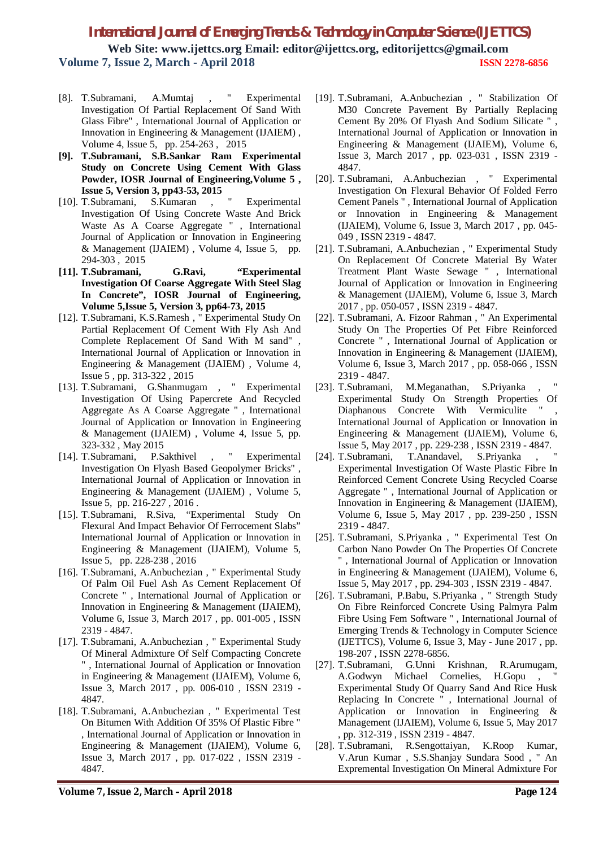- [8]. T.Subramani, A.Mumtaj , " Experimental Investigation Of Partial Replacement Of Sand With Glass Fibre" , International Journal of Application or Innovation in Engineering & Management (IJAIEM) , Volume 4, Issue 5, pp. 254-263 , 2015
- **[9]. T.Subramani, S.B.Sankar Ram Experimental Study on Concrete Using Cement With Glass Powder, IOSR Journal of Engineering,Volume 5 , Issue 5, Version 3, pp43-53, 2015**
- [10]. T.Subramani, S.Kumaran , " Experimental Investigation Of Using Concrete Waste And Brick Waste As A Coarse Aggregate " , International Journal of Application or Innovation in Engineering & Management (IJAIEM) , Volume 4, Issue 5, pp. 294-303 , 2015
- **[11]. T.Subramani, G.Ravi, "Experimental Investigation Of Coarse Aggregate With Steel Slag In Concrete", IOSR Journal of Engineering, Volume 5,Issue 5, Version 3, pp64-73, 2015**
- [12]. T.Subramani, K.S.Ramesh , " Experimental Study On Partial Replacement Of Cement With Fly Ash And Complete Replacement Of Sand With M sand" , International Journal of Application or Innovation in Engineering & Management (IJAIEM) , Volume 4, Issue 5 , pp. 313-322 , 2015
- [13]. T.Subramani, G.Shanmugam , " Experimental Investigation Of Using Papercrete And Recycled Aggregate As A Coarse Aggregate " , International Journal of Application or Innovation in Engineering & Management (IJAIEM) , Volume 4, Issue 5, pp. 323-332 , May 2015
- [14]. T.Subramani, P.Sakthivel , " Experimental Investigation On Flyash Based Geopolymer Bricks" , International Journal of Application or Innovation in Engineering & Management (IJAIEM) , Volume 5, Issue 5, pp. 216-227 , 2016 .
- [15]. T.Subramani, R.Siva, "Experimental Study On Flexural And Impact Behavior Of Ferrocement Slabs" International Journal of Application or Innovation in Engineering & Management (IJAIEM), Volume 5, Issue 5, pp. 228-238 , 2016
- [16]. T.Subramani, A.Anbuchezian , " Experimental Study Of Palm Oil Fuel Ash As Cement Replacement Of Concrete " , International Journal of Application or Innovation in Engineering & Management (IJAIEM), Volume 6, Issue 3, March 2017 , pp. 001-005 , ISSN 2319 - 4847.
- [17]. T.Subramani, A.Anbuchezian , " Experimental Study Of Mineral Admixture Of Self Compacting Concrete " , International Journal of Application or Innovation in Engineering & Management (IJAIEM), Volume 6, Issue 3, March 2017 , pp. 006-010 , ISSN 2319 - 4847.
- [18]. T.Subramani, A.Anbuchezian, "Experimental Test On Bitumen With Addition Of 35% Of Plastic Fibre " , International Journal of Application or Innovation in Engineering & Management (IJAIEM), Volume 6, Issue 3, March 2017 , pp. 017-022 , ISSN 2319 - 4847.
- [19]. T.Subramani, A.Anbuchezian , " Stabilization Of M30 Concrete Pavement By Partially Replacing Cement By 20% Of Flyash And Sodium Silicate " , International Journal of Application or Innovation in Engineering & Management (IJAIEM), Volume 6, Issue 3, March 2017 , pp. 023-031 , ISSN 2319 - 4847.
- [20]. T.Subramani, A.Anbuchezian , " Experimental Investigation On Flexural Behavior Of Folded Ferro Cement Panels " , International Journal of Application or Innovation in Engineering & Management (IJAIEM), Volume 6, Issue 3, March 2017 , pp. 045- 049 , ISSN 2319 - 4847.
- [21]. T.Subramani, A.Anbuchezian , " Experimental Study On Replacement Of Concrete Material By Water Treatment Plant Waste Sewage " , International Journal of Application or Innovation in Engineering & Management (IJAIEM), Volume 6, Issue 3, March 2017 , pp. 050-057 , ISSN 2319 - 4847.
- [22]. T.Subramani, A. Fizoor Rahman , " An Experimental Study On The Properties Of Pet Fibre Reinforced Concrete " , International Journal of Application or Innovation in Engineering & Management (IJAIEM), Volume 6, Issue 3, March 2017 , pp. 058-066 , ISSN 2319 - 4847.
- [23]. T.Subramani, M.Meganathan, S.Priyanka Experimental Study On Strength Properties Of Diaphanous Concrete With Vermiculite International Journal of Application or Innovation in Engineering & Management (IJAIEM), Volume 6, Issue 5, May 2017 , pp. 229-238 , ISSN 2319 - 4847.
- [24]. T.Subramani, T.Anandavel, S.Priyanka, Experimental Investigation Of Waste Plastic Fibre In Reinforced Cement Concrete Using Recycled Coarse Aggregate " , International Journal of Application or Innovation in Engineering & Management (IJAIEM), Volume 6, Issue 5, May 2017 , pp. 239-250 , ISSN 2319 - 4847.
- [25]. T.Subramani, S.Priyanka , " Experimental Test On Carbon Nano Powder On The Properties Of Concrete " , International Journal of Application or Innovation in Engineering & Management (IJAIEM), Volume 6, Issue 5, May 2017 , pp. 294-303 , ISSN 2319 - 4847.
- [26]. T.Subramani, P.Babu, S.Priyanka , " Strength Study On Fibre Reinforced Concrete Using Palmyra Palm Fibre Using Fem Software " , International Journal of Emerging Trends & Technology in Computer Science (IJETTCS), Volume 6, Issue 3, May - June 2017 , pp. 198-207 , ISSN 2278-6856.
- [27]. T.Subramani, G.Unni Krishnan, R.Arumugam, A.Godwyn Michael Cornelies, H.Gopu , " Experimental Study Of Quarry Sand And Rice Husk Replacing In Concrete " , International Journal of Application or Innovation in Engineering & Management (IJAIEM), Volume 6, Issue 5, May 2017 , pp. 312-319 , ISSN 2319 - 4847.
- [28]. T.Subramani, R.Sengottaiyan, K.Roop Kumar, V.Arun Kumar , S.S.Shanjay Sundara Sood , " An Expremental Investigation On Mineral Admixture For